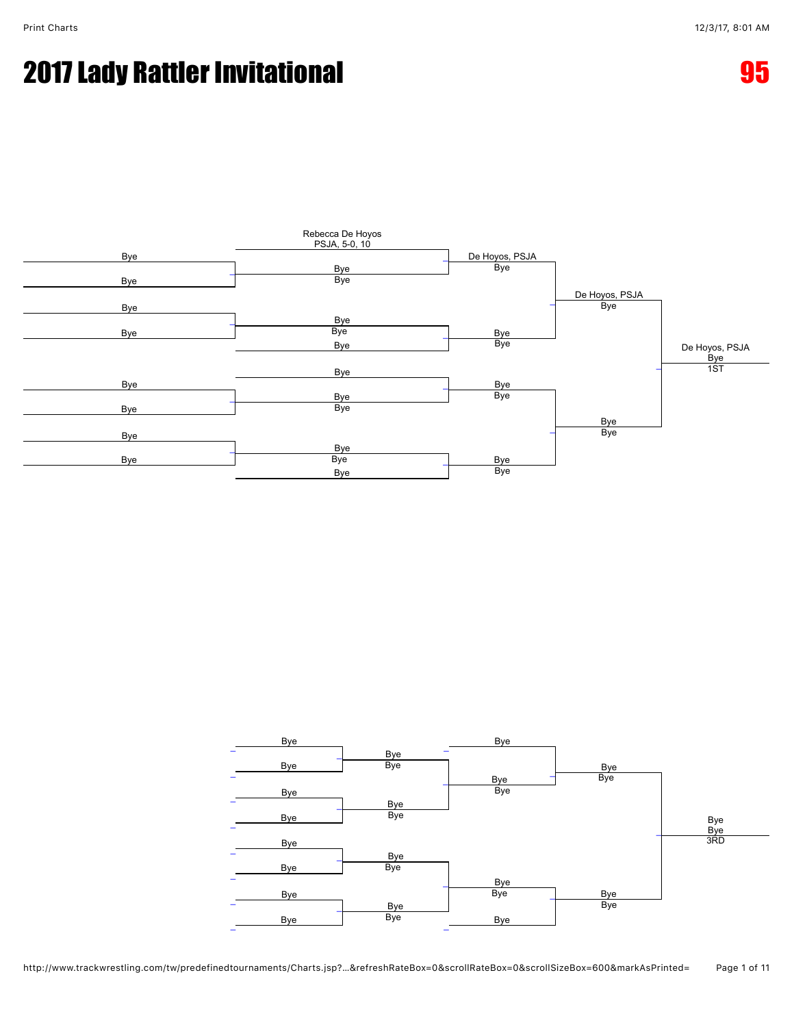### 2017 Lady Rattler Invitational 95



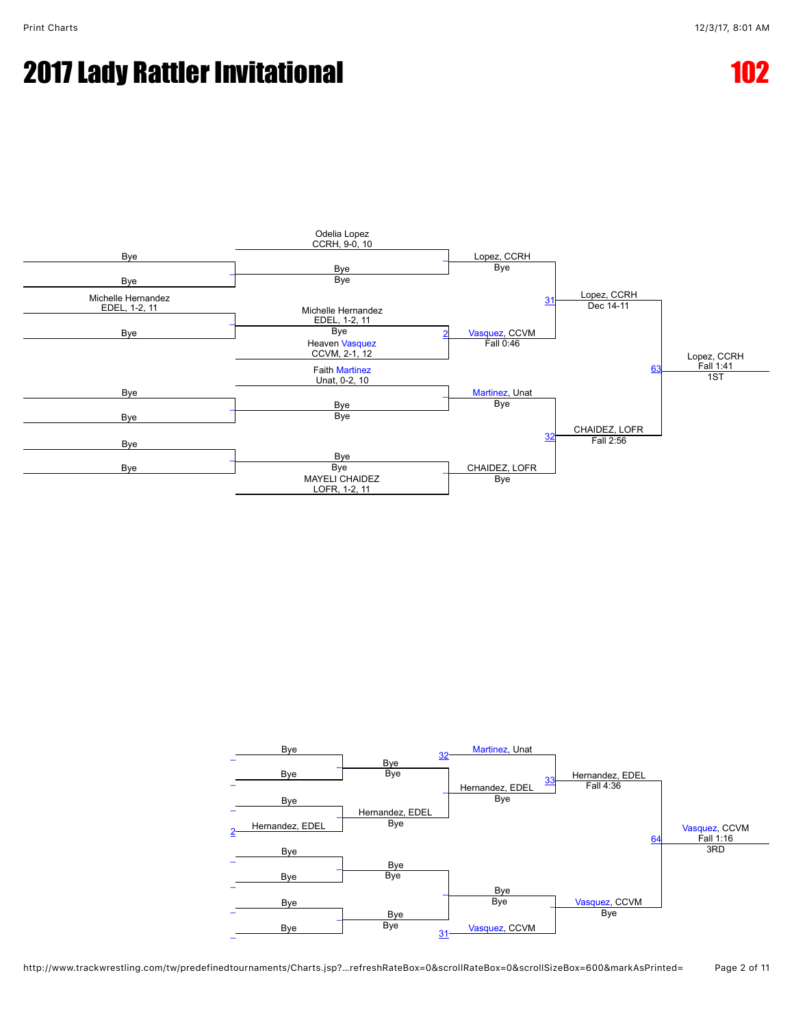## **2017 Lady Rattler Invitational 102 and 102 and 102**



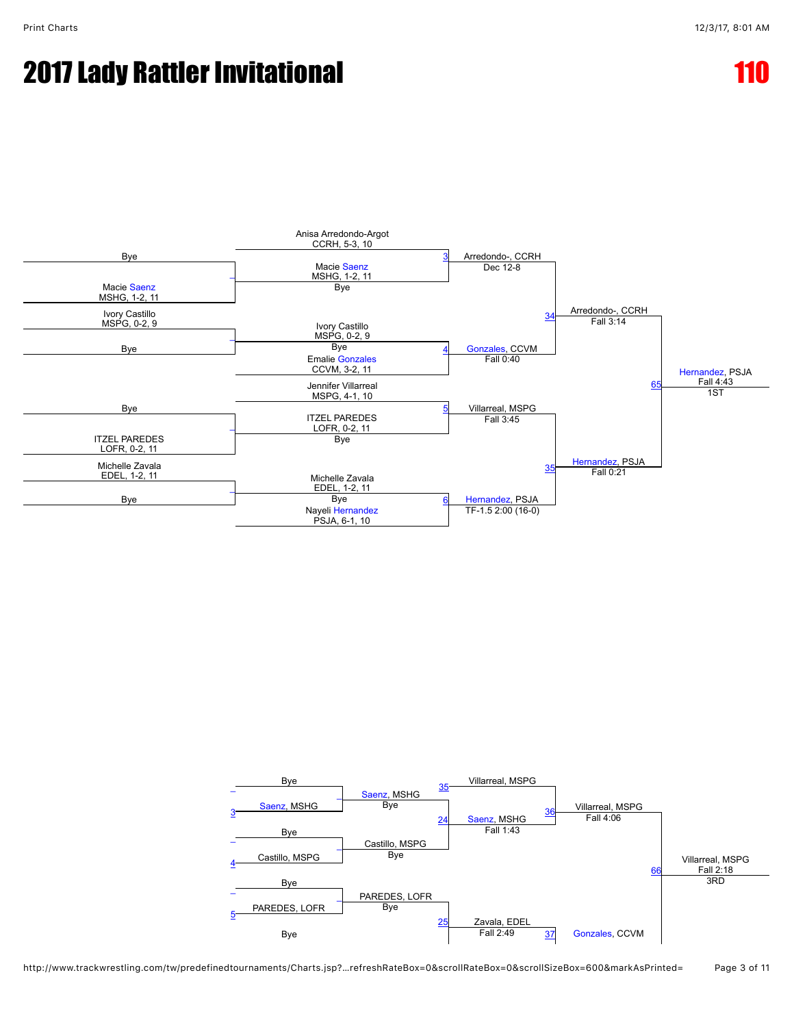## **2017 Lady Rattler Invitational**



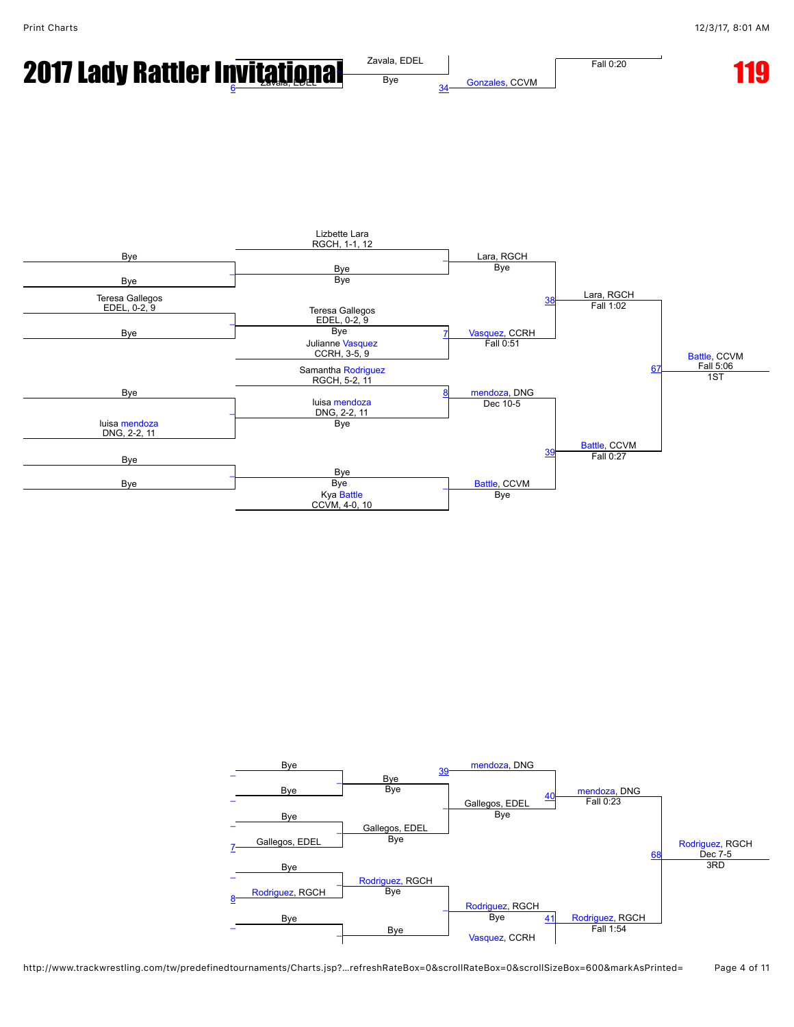



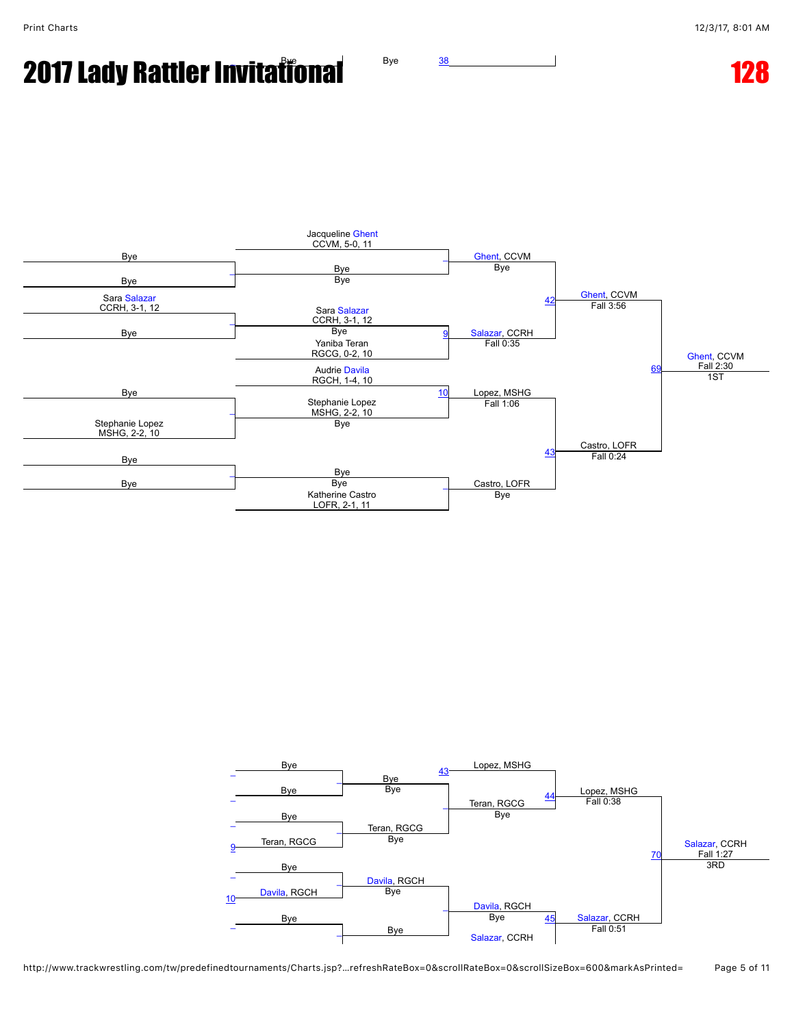# **2017 Lady Rattler Invitational Bye [38](javascript:openBoutSheet(15,)**



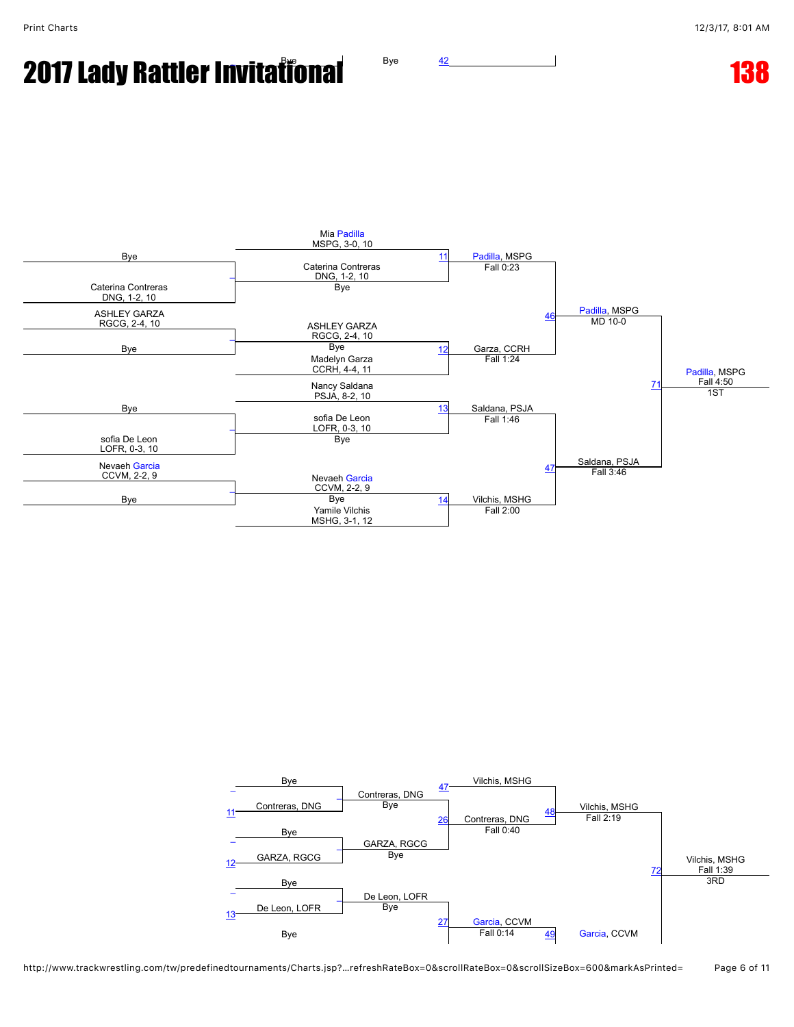## **2017 Lady Rattler Invitational Bye Algorithm**



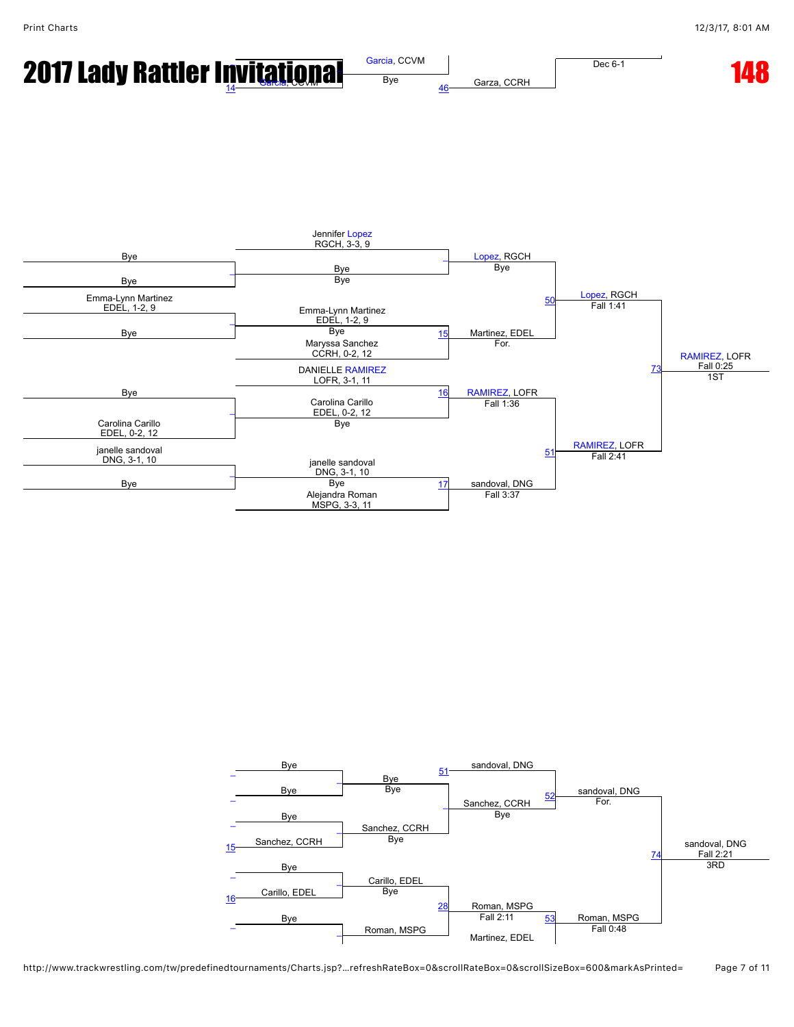

**2017 Lady Rattler Invi[tat](javascript:viewProfile(1389522009))iona[l](javascript:openBoutSheet(12,)** *[Garcia](javascript:viewProfile(1389522009)), CCVM Ag Garza, CCRH* **Dec 6-1 [14](javascript:openBoutSheet(8,)8** 

Garza, CCRH

Dec 6-1



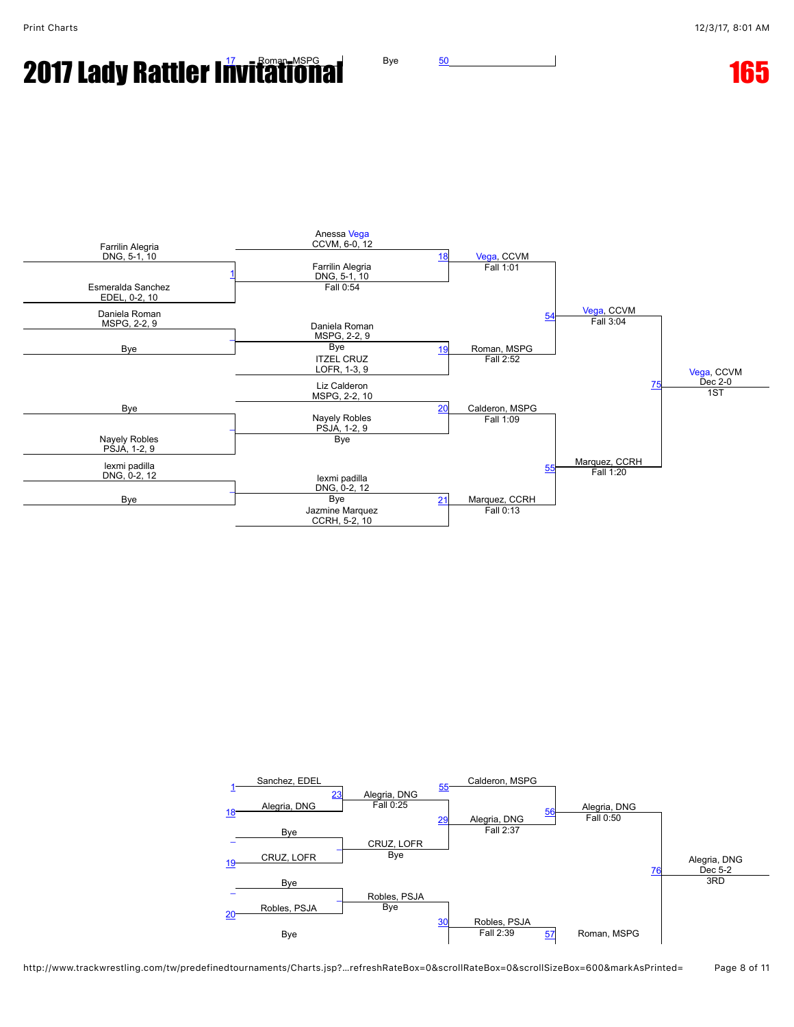# **20[17](javascript:openBoutSheet(8,) Lady Rattler Invitational** Bye [50](javascript:openBoutSheet(15,) **165** 165



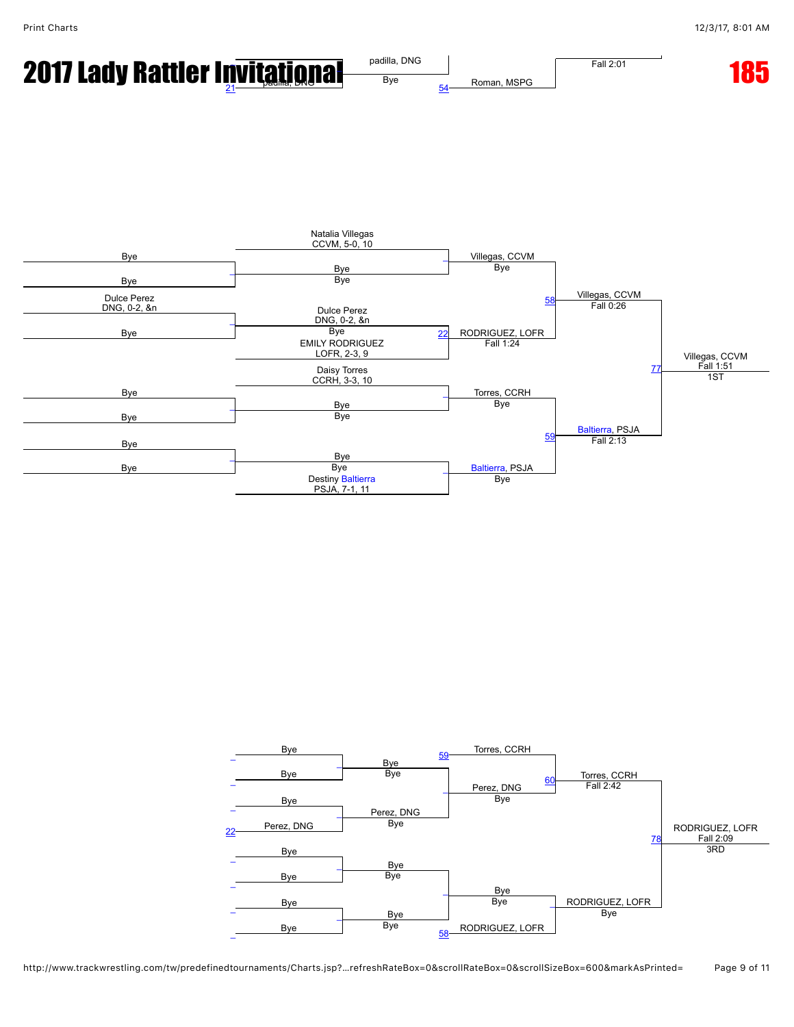

**2017 Lady Ratt[l](javascript:openBoutSheet(12,)er Invitational** Padilla, DNG Roman, MSPG **Fall 2:01 185** Roman, MSPG Fall 2:01